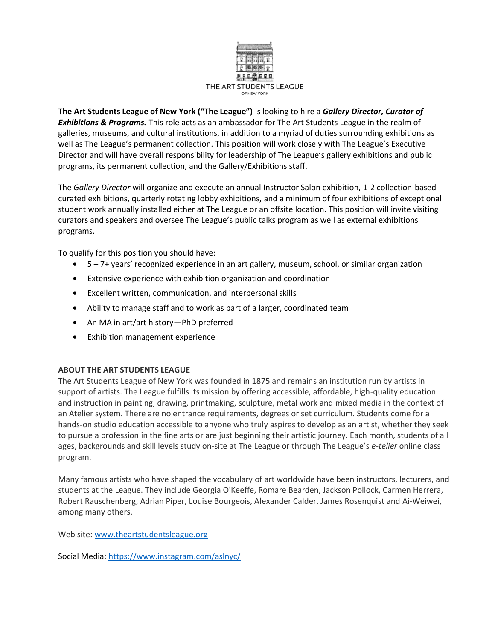

**The Art Students League of New York ("The League")** is looking to hire a *Gallery Director, Curator of Exhibitions & Programs.* This role acts as an ambassador for The Art Students League in the realm of galleries, museums, and cultural institutions, in addition to a myriad of duties surrounding exhibitions as well as The League's permanent collection. This position will work closely with The League's Executive Director and will have overall responsibility for leadership of The League's gallery exhibitions and public programs, its permanent collection, and the Gallery/Exhibitions staff.

The *Gallery Director* will organize and execute an annual Instructor Salon exhibition, 1-2 collection-based curated exhibitions, quarterly rotating lobby exhibitions, and a minimum of four exhibitions of exceptional student work annually installed either at The League or an offsite location. This position will invite visiting curators and speakers and oversee The League's public talks program as well as external exhibitions programs.

To qualify for this position you should have:

- 5 7+ years' recognized experience in an art gallery, museum, school, or similar organization
- Extensive experience with exhibition organization and coordination
- Excellent written, communication, and interpersonal skills
- Ability to manage staff and to work as part of a larger, coordinated team
- An MA in art/art history—PhD preferred
- Exhibition management experience

## **ABOUT THE ART STUDENTS LEAGUE**

The Art Students League of New York was founded in 1875 and remains an institution run by artists in support of artists. The League fulfills its mission by offering accessible, affordable, high-quality education and instruction in painting, drawing, printmaking, sculpture, metal work and mixed media in the context of an Atelier system. There are no entrance requirements, degrees or set curriculum. Students come for a hands-on studio education accessible to anyone who truly aspires to develop as an artist, whether they seek to pursue a profession in the fine arts or are just beginning their artistic journey. Each month, students of all ages, backgrounds and skill levels study on-site at The League or through The League's *e-telier* online class program.

Many famous artists who have shaped the vocabulary of art worldwide have been instructors, lecturers, and students at the League. They include Georgia O'Keeffe, Romare Bearden, Jackson Pollock, Carmen Herrera, Robert Rauschenberg, Adrian Piper, Louise Bourgeois, Alexander Calder, James Rosenquist and Ai-Weiwei, among many others.

Web site: [www.theartstudentsleague.org](http://www.theartstudentsleague.org/)

Social Media:<https://www.instagram.com/aslnyc/>